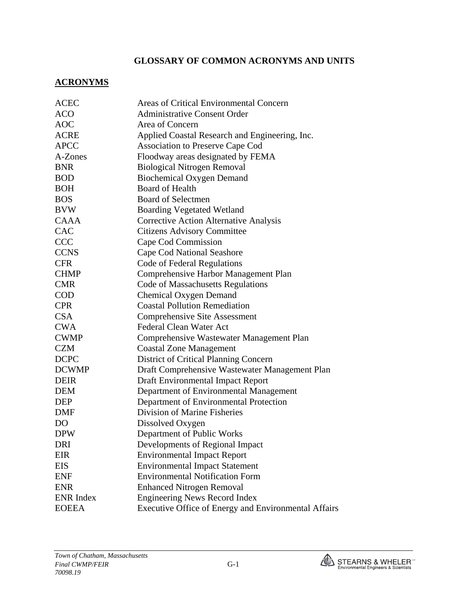# **GLOSSARY OF COMMON ACRONYMS AND UNITS**

#### **ACRONYMS**

| <b>ACEC</b>      | Areas of Critical Environmental Concern                     |
|------------------|-------------------------------------------------------------|
| <b>ACO</b>       | <b>Administrative Consent Order</b>                         |
| <b>AOC</b>       | Area of Concern                                             |
| <b>ACRE</b>      | Applied Coastal Research and Engineering, Inc.              |
| <b>APCC</b>      | <b>Association to Preserve Cape Cod</b>                     |
| A-Zones          | Floodway areas designated by FEMA                           |
| <b>BNR</b>       | <b>Biological Nitrogen Removal</b>                          |
| <b>BOD</b>       | <b>Biochemical Oxygen Demand</b>                            |
| <b>BOH</b>       | <b>Board of Health</b>                                      |
| <b>BOS</b>       | <b>Board of Selectmen</b>                                   |
| <b>BVW</b>       | <b>Boarding Vegetated Wetland</b>                           |
| <b>CAAA</b>      | <b>Corrective Action Alternative Analysis</b>               |
| CAC              | <b>Citizens Advisory Committee</b>                          |
| <b>CCC</b>       | Cape Cod Commission                                         |
| <b>CCNS</b>      | <b>Cape Cod National Seashore</b>                           |
| <b>CFR</b>       | Code of Federal Regulations                                 |
| <b>CHMP</b>      | Comprehensive Harbor Management Plan                        |
| <b>CMR</b>       | <b>Code of Massachusetts Regulations</b>                    |
| <b>COD</b>       | <b>Chemical Oxygen Demand</b>                               |
| <b>CPR</b>       | <b>Coastal Pollution Remediation</b>                        |
| <b>CSA</b>       | <b>Comprehensive Site Assessment</b>                        |
| <b>CWA</b>       | <b>Federal Clean Water Act</b>                              |
| <b>CWMP</b>      | Comprehensive Wastewater Management Plan                    |
| <b>CZM</b>       | <b>Coastal Zone Management</b>                              |
| <b>DCPC</b>      | <b>District of Critical Planning Concern</b>                |
| <b>DCWMP</b>     | Draft Comprehensive Wastewater Management Plan              |
| <b>DEIR</b>      | <b>Draft Environmental Impact Report</b>                    |
| <b>DEM</b>       | Department of Environmental Management                      |
| <b>DEP</b>       | Department of Environmental Protection                      |
| DMF              | Division of Marine Fisheries                                |
| D <sub>O</sub>   | Dissolved Oxygen                                            |
| <b>DPW</b>       | Department of Public Works                                  |
| DRI              | Developments of Regional Impact                             |
| EIR              | <b>Environmental Impact Report</b>                          |
| <b>EIS</b>       | <b>Environmental Impact Statement</b>                       |
| <b>ENF</b>       | <b>Environmental Notification Form</b>                      |
| <b>ENR</b>       | <b>Enhanced Nitrogen Removal</b>                            |
| <b>ENR</b> Index | <b>Engineering News Record Index</b>                        |
| <b>EOEEA</b>     | <b>Executive Office of Energy and Environmental Affairs</b> |

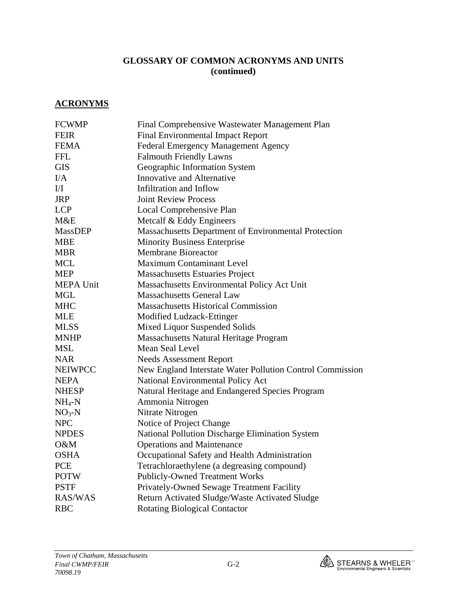## **GLOSSARY OF COMMON ACRONYMS AND UNITS (continued)**

#### **ACRONYMS**

| <b>FCWMP</b>     | Final Comprehensive Wastewater Management Plan            |
|------------------|-----------------------------------------------------------|
| <b>FEIR</b>      | <b>Final Environmental Impact Report</b>                  |
| <b>FEMA</b>      | <b>Federal Emergency Management Agency</b>                |
| <b>FFL</b>       | <b>Falmouth Friendly Lawns</b>                            |
| <b>GIS</b>       | Geographic Information System                             |
| I/A              | Innovative and Alternative                                |
| I/I              | Infiltration and Inflow                                   |
| <b>JRP</b>       | <b>Joint Review Process</b>                               |
| <b>LCP</b>       | Local Comprehensive Plan                                  |
| M&E              | Metcalf & Eddy Engineers                                  |
| <b>MassDEP</b>   | Massachusetts Department of Environmental Protection      |
| <b>MBE</b>       | <b>Minority Business Enterprise</b>                       |
| <b>MBR</b>       | <b>Membrane Bioreactor</b>                                |
| <b>MCL</b>       | <b>Maximum Contaminant Level</b>                          |
| <b>MEP</b>       | <b>Massachusetts Estuaries Project</b>                    |
| <b>MEPA Unit</b> | Massachusetts Environmental Policy Act Unit               |
| <b>MGL</b>       | <b>Massachusetts General Law</b>                          |
| <b>MHC</b>       | <b>Massachusetts Historical Commission</b>                |
| <b>MLE</b>       | Modified Ludzack-Ettinger                                 |
| <b>MLSS</b>      | Mixed Liquor Suspended Solids                             |
| <b>MNHP</b>      | <b>Massachusetts Natural Heritage Program</b>             |
| <b>MSL</b>       | Mean Seal Level                                           |
| <b>NAR</b>       | <b>Needs Assessment Report</b>                            |
| <b>NEIWPCC</b>   | New England Interstate Water Pollution Control Commission |
| <b>NEPA</b>      | National Environmental Policy Act                         |
| <b>NHESP</b>     | Natural Heritage and Endangered Species Program           |
| $NH_4-N$         | Ammonia Nitrogen                                          |
| $NO3-N$          | Nitrate Nitrogen                                          |
| <b>NPC</b>       | Notice of Project Change                                  |
| <b>NPDES</b>     | National Pollution Discharge Elimination System           |
| O&M              | <b>Operations and Maintenance</b>                         |
| <b>OSHA</b>      | Occupational Safety and Health Administration             |
| <b>PCE</b>       | Tetrachloraethylene (a degreasing compound)               |
| <b>POTW</b>      | <b>Publicly-Owned Treatment Works</b>                     |
| <b>PSTF</b>      | Privately-Owned Sewage Treatment Facility                 |
| <b>RAS/WAS</b>   | Return Activated Sludge/Waste Activated Sludge            |
| <b>RBC</b>       | <b>Rotating Biological Contactor</b>                      |

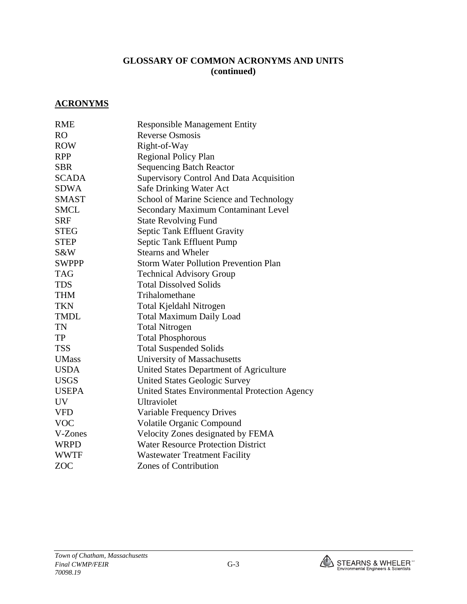# **GLOSSARY OF COMMON ACRONYMS AND UNITS (continued)**

#### **ACRONYMS**

| <b>RME</b>   | <b>Responsible Management Entity</b>          |
|--------------|-----------------------------------------------|
| <b>RO</b>    | <b>Reverse Osmosis</b>                        |
| <b>ROW</b>   | Right-of-Way                                  |
| <b>RPP</b>   |                                               |
| <b>SBR</b>   | <b>Regional Policy Plan</b>                   |
|              | <b>Sequencing Batch Reactor</b>               |
| <b>SCADA</b> | Supervisory Control And Data Acquisition      |
| <b>SDWA</b>  | Safe Drinking Water Act                       |
| <b>SMAST</b> | School of Marine Science and Technology       |
| <b>SMCL</b>  | <b>Secondary Maximum Contaminant Level</b>    |
| <b>SRF</b>   | <b>State Revolving Fund</b>                   |
| <b>STEG</b>  | Septic Tank Effluent Gravity                  |
| <b>STEP</b>  | Septic Tank Effluent Pump                     |
| S&W          | <b>Stearns and Wheler</b>                     |
| <b>SWPPP</b> | <b>Storm Water Pollution Prevention Plan</b>  |
| <b>TAG</b>   | <b>Technical Advisory Group</b>               |
| <b>TDS</b>   | <b>Total Dissolved Solids</b>                 |
| <b>THM</b>   | Trihalomethane                                |
| <b>TKN</b>   | Total Kjeldahl Nitrogen                       |
| <b>TMDL</b>  | <b>Total Maximum Daily Load</b>               |
| <b>TN</b>    | <b>Total Nitrogen</b>                         |
| <b>TP</b>    | <b>Total Phosphorous</b>                      |
| <b>TSS</b>   | <b>Total Suspended Solids</b>                 |
| <b>UMass</b> | University of Massachusetts                   |
| <b>USDA</b>  | United States Department of Agriculture       |
| <b>USGS</b>  | <b>United States Geologic Survey</b>          |
| <b>USEPA</b> | United States Environmental Protection Agency |
| <b>UV</b>    | Ultraviolet                                   |
| <b>VFD</b>   | Variable Frequency Drives                     |
| <b>VOC</b>   | <b>Volatile Organic Compound</b>              |
| V-Zones      | Velocity Zones designated by FEMA             |
| <b>WRPD</b>  | <b>Water Resource Protection District</b>     |
| <b>WWTF</b>  | <b>Wastewater Treatment Facility</b>          |
| <b>ZOC</b>   | <b>Zones of Contribution</b>                  |
|              |                                               |